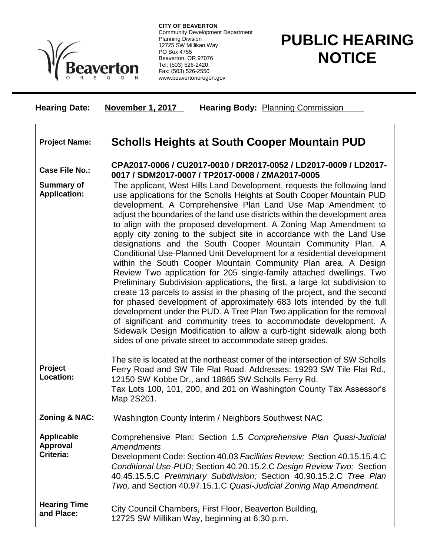

**CITY OF BEAVERTON** Community Development Department Planning Division 12725 SW Millikan Way PO Box 4755 Beaverton, OR 97076 Tel: (503) 526-2420 Fax: (503) 526-2550 www.beavertonoregon.gov

## **PUBLIC HEARING NOTICE**

| <b>Hearing Date:</b>                              | <b>November 1, 2017</b><br><b>Hearing Body: Planning Commission</b>                                                                                                                                                                                                                                                                                                                                                                                                                                                                                                                                                                                                                                                                                                                                                                                                                                                                                                                                                                                                                                                                                                                                                                                       |
|---------------------------------------------------|-----------------------------------------------------------------------------------------------------------------------------------------------------------------------------------------------------------------------------------------------------------------------------------------------------------------------------------------------------------------------------------------------------------------------------------------------------------------------------------------------------------------------------------------------------------------------------------------------------------------------------------------------------------------------------------------------------------------------------------------------------------------------------------------------------------------------------------------------------------------------------------------------------------------------------------------------------------------------------------------------------------------------------------------------------------------------------------------------------------------------------------------------------------------------------------------------------------------------------------------------------------|
| <b>Project Name:</b>                              | <b>Scholls Heights at South Cooper Mountain PUD</b>                                                                                                                                                                                                                                                                                                                                                                                                                                                                                                                                                                                                                                                                                                                                                                                                                                                                                                                                                                                                                                                                                                                                                                                                       |
| <b>Case File No.:</b>                             | CPA2017-0006 / CU2017-0010 / DR2017-0052 / LD2017-0009 / LD2017-<br>0017 / SDM2017-0007 / TP2017-0008 / ZMA2017-0005                                                                                                                                                                                                                                                                                                                                                                                                                                                                                                                                                                                                                                                                                                                                                                                                                                                                                                                                                                                                                                                                                                                                      |
| <b>Summary of</b><br><b>Application:</b>          | The applicant, West Hills Land Development, requests the following land<br>use applications for the Scholls Heights at South Cooper Mountain PUD<br>development. A Comprehensive Plan Land Use Map Amendment to<br>adjust the boundaries of the land use districts within the development area<br>to align with the proposed development. A Zoning Map Amendment to<br>apply city zoning to the subject site in accordance with the Land Use<br>designations and the South Cooper Mountain Community Plan. A<br>Conditional Use-Planned Unit Development for a residential development<br>within the South Cooper Mountain Community Plan area. A Design<br>Review Two application for 205 single-family attached dwellings. Two<br>Preliminary Subdivision applications, the first, a large lot subdivision to<br>create 13 parcels to assist in the phasing of the project, and the second<br>for phased development of approximately 683 lots intended by the full<br>development under the PUD. A Tree Plan Two application for the removal<br>of significant and community trees to accommodate development. A<br>Sidewalk Design Modification to allow a curb-tight sidewalk along both<br>sides of one private street to accommodate steep grades. |
| Project<br>Location:                              | The site is located at the northeast corner of the intersection of SW Scholls<br>Ferry Road and SW Tile Flat Road. Addresses: 19293 SW Tile Flat Rd.,<br>12150 SW Kobbe Dr., and 18865 SW Scholls Ferry Rd.<br>Tax Lots 100, 101, 200, and 201 on Washington County Tax Assessor's<br>Map 2S201.                                                                                                                                                                                                                                                                                                                                                                                                                                                                                                                                                                                                                                                                                                                                                                                                                                                                                                                                                          |
| <b>Zoning &amp; NAC:</b>                          | Washington County Interim / Neighbors Southwest NAC                                                                                                                                                                                                                                                                                                                                                                                                                                                                                                                                                                                                                                                                                                                                                                                                                                                                                                                                                                                                                                                                                                                                                                                                       |
| <b>Applicable</b><br><b>Approval</b><br>Criteria: | Comprehensive Plan: Section 1.5 Comprehensive Plan Quasi-Judicial<br><b>Amendments</b><br>Development Code: Section 40.03 Facilities Review; Section 40.15.15.4.C<br>Conditional Use-PUD; Section 40.20.15.2.C Design Review Two; Section<br>40.45.15.5.C Preliminary Subdivision; Section 40.90.15.2.C Tree Plan<br>Two, and Section 40.97.15.1.C Quasi-Judicial Zoning Map Amendment.                                                                                                                                                                                                                                                                                                                                                                                                                                                                                                                                                                                                                                                                                                                                                                                                                                                                   |
| <b>Hearing Time</b><br>and Place:                 | City Council Chambers, First Floor, Beaverton Building,<br>12725 SW Millikan Way, beginning at 6:30 p.m.                                                                                                                                                                                                                                                                                                                                                                                                                                                                                                                                                                                                                                                                                                                                                                                                                                                                                                                                                                                                                                                                                                                                                  |